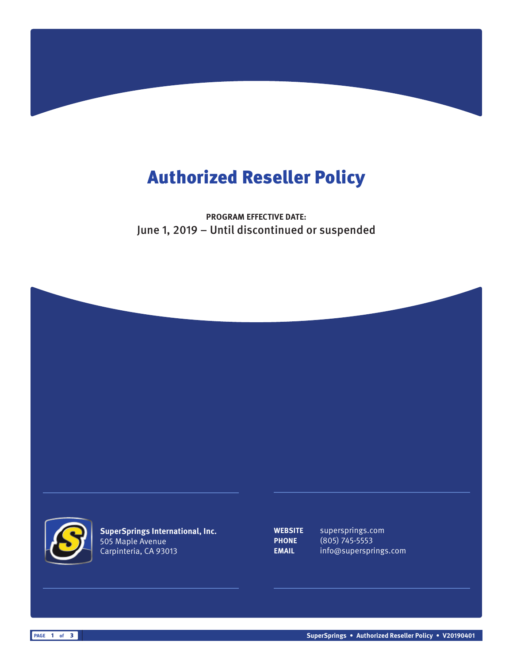## Authorized Reseller Policy

**PROGRAM EFFECTIVE DATE:** June 1, 2019 – Until discontinued or suspended





**SuperSprings International, Inc.** 505 Maple Avenue Carpinteria, CA 93013

**WEBSITE** supersprings.com **PHONE** (805) 745-5553 **EMAIL** info@supersprings.com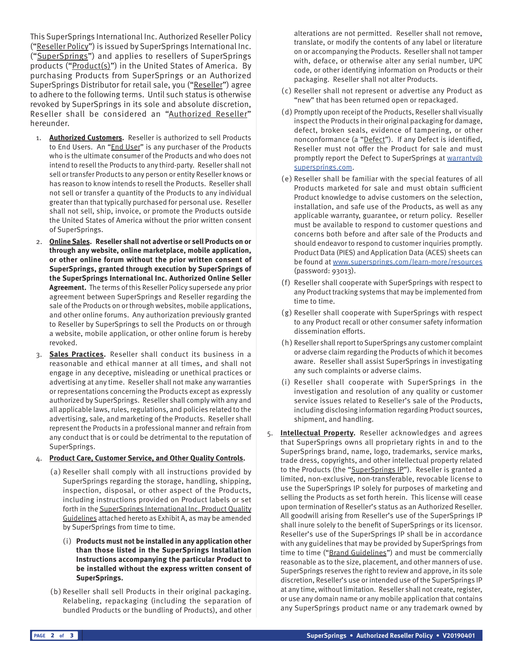This SuperSprings International Inc. Authorized Reseller Policy ("Reseller Policy") is issued by SuperSprings International Inc. ("SuperSprings") and applies to resellers of SuperSprings products ("Product(s)") in the United States of America. By purchasing Products from SuperSprings or an Authorized SuperSprings Distributor for retail sale, you ("Reseller") agree to adhere to the following terms. Until such status is otherwise revoked by SuperSprings in its sole and absolute discretion, Reseller shall be considered an "Authorized Reseller" hereunder.

- 1. **Authorized Customers.** Reseller is authorized to sell Products to End Users. An "*End User*" is any purchaser of the Products who is the ultimate consumer of the Products and who does not intend to resell the Products to any third-party. Reseller shall not sell or transfer Products to any person or entity Reseller knows or has reason to know intends to resell the Products. Reseller shall not sell or transfer a quantity of the Products to any individual greater than that typically purchased for personal use. Reseller shall not sell, ship, invoice, or promote the Products outside the United States of America without the prior written consent of SuperSprings.
- 2. **Online Sales. Reseller shall not advertise or sell Products on or through any website, online marketplace, mobile application, or other online forum without the prior written consent of SuperSprings, granted through execution by SuperSprings of the SuperSprings International Inc. Authorized Online Seller Agreement.** The terms of this Reseller Policy supersede any prior agreement between SuperSprings and Reseller regarding the sale of the Products on or through websites, mobile applications, and other online forums. Any authorization previously granted to Reseller by SuperSprings to sell the Products on or through a website, mobile application, or other online forum is hereby revoked.
- 3. **Sales Practices.** Reseller shall conduct its business in a reasonable and ethical manner at all times, and shall not engage in any deceptive, misleading or unethical practices or advertising at any time. Reseller shall not make any warranties or representations concerning the Products except as expressly authorized by SuperSprings. Reseller shall comply with any and all applicable laws, rules, regulations, and policies related to the advertising, sale, and marketing of the Products. Reseller shall represent the Products in a professional manner and refrain from any conduct that is or could be detrimental to the reputation of SuperSprings.

## 4. **Product Care, Customer Service, and Other Quality Controls.**

- (a) Reseller shall comply with all instructions provided by SuperSprings regarding the storage, handling, shipping, inspection, disposal, or other aspect of the Products, including instructions provided on Product labels or set forth in the SuperSprings International Inc. Product Quality Guidelines attached hereto as Exhibit A, as may be amended by SuperSprings from time to time.
	- (i) **Products must not be installed in any application other than those listed in the SuperSprings Installation Instructions accompanying the particular Product to be installed without the express written consent of SuperSprings.**
- (b) Reseller shall sell Products in their original packaging. Relabeling, repackaging (including the separation of bundled Products or the bundling of Products), and other

alterations are not permitted. Reseller shall not remove, translate, or modify the contents of any label or literature on or accompanying the Products. Reseller shall not tamper with, deface, or otherwise alter any serial number, UPC code, or other identifying information on Products or their packaging. Reseller shall not alter Products.

- ( c) Reseller shall not represent or advertise any Product as "new" that has been returned open or repackaged.
- (d) Promptly upon receipt of the Products, Reseller shall visually inspect the Products in their original packaging for damage, defect, broken seals, evidence of tampering, or other nonconformance (a "Defect"). If any Defect is identified, Reseller must not offer the Product for sale and must promptly report the Defect to SuperSprings at warranty@ supersprings.com.
- (e) Reseller shall be familiar with the special features of all Products marketed for sale and must obtain sufficient Product knowledge to advise customers on the selection, installation, and safe use of the Products, as well as any applicable warranty, guarantee, or return policy. Reseller must be available to respond to customer questions and concerns both before and after sale of the Products and should endeavor to respond to customer inquiries promptly. Product Data (PIES) and Application Data (ACES) sheets can be found at www.supersprings.com/learn-more/resources (password: 93013).
- (f) Reseller shall cooperate with SuperSprings with respect to any Product tracking systems that may be implemented from time to time.
- (g) Reseller shall cooperate with SuperSprings with respect to any Product recall or other consumer safety information dissemination efforts.
- (h) Reseller shall report to SuperSprings any customer complaint or adverse claim regarding the Products of which it becomes aware. Reseller shall assist SuperSprings in investigating any such complaints or adverse claims.
- (i) Reseller shall cooperate with SuperSprings in the investigation and resolution of any quality or customer service issues related to Reseller's sale of the Products, including disclosing information regarding Product sources, shipment, and handling.
- 5. **Intellectual Property.** Reseller acknowledges and agrees that SuperSprings owns all proprietary rights in and to the SuperSprings brand, name, logo, trademarks, service marks, trade dress, copyrights, and other intellectual property related to the Products (the "SuperSprings IP"). Reseller is granted a limited, non-exclusive, non-transferable, revocable license to use the SuperSprings IP solely for purposes of marketing and selling the Products as set forth herein. This license will cease upon termination of Reseller's status as an Authorized Reseller. All goodwill arising from Reseller's use of the SuperSprings IP shall inure solely to the benefit of SuperSprings or its licensor. Reseller's use of the SuperSprings IP shall be in accordance with any guidelines that may be provided by SuperSprings from time to time ("Brand Guidelines") and must be commercially reasonable as to the size, placement, and other manners of use. SuperSprings reserves the right to review and approve, in its sole discretion, Reseller's use or intended use of the SuperSprings IP at any time, without limitation. Reseller shall not create, register, or use any domain name or any mobile application that contains any SuperSprings product name or any trademark owned by